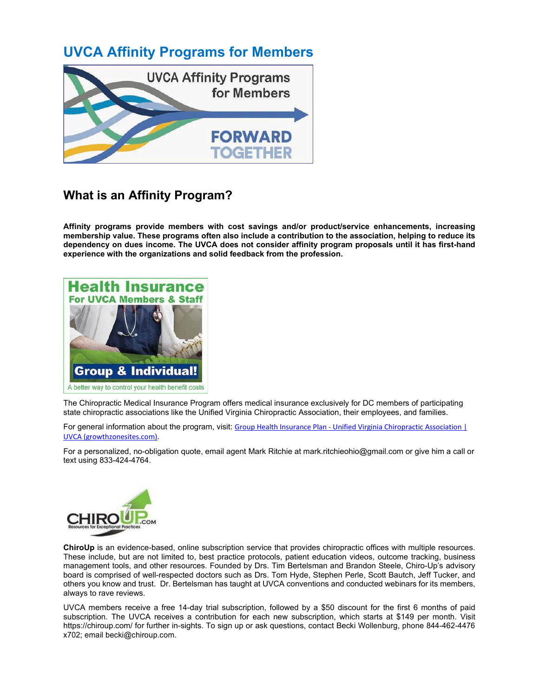### **UVCA Affinity Programs for Members**



#### **What is an Affinity Program?**

**Affinity programs provide members with cost savings and/or product/service enhancements, increasing membership value. These programs often also include a contribution to the association, helping to reduce its dependency on dues income. The UVCA does not consider affinity program proposals until it has first-hand experience with the organizations and solid feedback from the profession.**



The Chiropractic Medical Insurance Program offers medical insurance exclusively for DC members of participating state chiropractic associations like the Unified Virginia Chiropractic Association, their employees, and families.

For general information about the program, visit: Group Health Insurance Plan - Unified Virginia Chiropractic Association | [UVCA \(growthzonesites.com\).](https://unifiedvirginiachiropracticassociationuvca.growthzonesites.com/group-health-insurance-plan/)

For a personalized, no-obligation quote, email agent Mark Ritchie at mark.ritchieohio@gmail.com or give him a call or text using 833-424-4764.



**ChiroUp** is an evidence-based, online subscription service that provides chiropractic offices with multiple resources. These include, but are not limited to, best practice protocols, patient education videos, outcome tracking, business management tools, and other resources. Founded by Drs. Tim Bertelsman and Brandon Steele, Chiro-Up's advisory board is comprised of well-respected doctors such as Drs. Tom Hyde, Stephen Perle, Scott Bautch, Jeff Tucker, and others you know and trust. Dr. Bertelsman has taught at UVCA conventions and conducted webinars for its members, always to rave reviews.

UVCA members receive a free 14-day trial subscription, followed by a \$50 discount for the first 6 months of paid subscription. The UVCA receives a contribution for each new subscription, which starts at \$149 per month. Visit https://chiroup.com/ for further in-sights. To sign up or ask questions, contact Becki Wollenburg, phone 844-462-4476 x702; email becki@chiroup.com.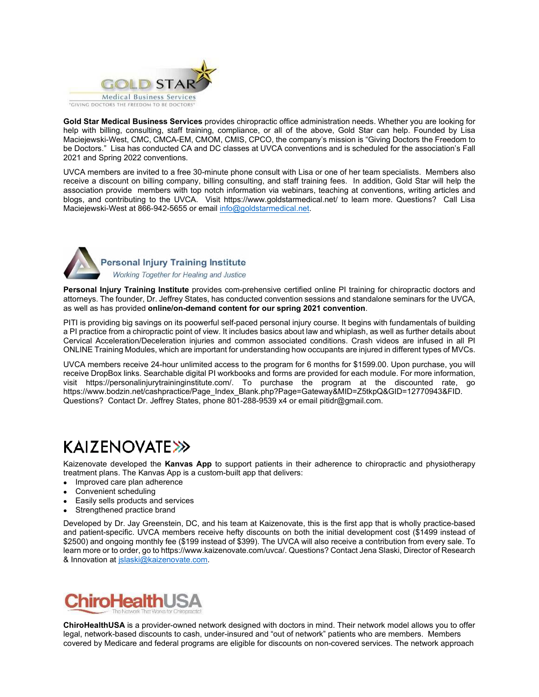

**Gold Star Medical Business Services** provides chiropractic office administration needs. Whether you are looking for help with billing, consulting, staff training, compliance, or all of the above, Gold Star can help. Founded by Lisa Maciejewski-West, CMC, CMCA-EM, CMOM, CMIS, CPCO, the company's mission is "Giving Doctors the Freedom to be Doctors." Lisa has conducted CA and DC classes at UVCA conventions and is scheduled for the association's Fall 2021 and Spring 2022 conventions.

UVCA members are invited to a free 30-minute phone consult with Lisa or one of her team specialists. Members also receive a discount on billing company, billing consulting, and staff training fees. In addition, Gold Star will help the association provide members with top notch information via webinars, teaching at conventions, writing articles and blogs, and contributing to the UVCA. Visit https://www.goldstarmedical.net/ to learn more. Questions? Call Lisa Maciejewski-West at 866-942-5655 or email info@goldstarmedical.net.



## Personal Injury Training Institute

Working Together for Healing and Justice

**Personal Injury Training Institute** provides com-prehensive certified online PI training for chiropractic doctors and attorneys. The founder, Dr. Jeffrey States, has conducted convention sessions and standalone seminars for the UVCA, as well as has provided **online/on-demand content for our spring 2021 convention**.

PITI is providing big savings on its poowerful self-paced personal injury course. It begins with fundamentals of building a PI practice from a chiropractic point of view. It includes basics about law and whiplash, as well as further details about Cervical Acceleration/Deceleration injuries and common associated conditions. Crash videos are infused in all PI ONLINE Training Modules, which are important for understanding how occupants are injured in different types of MVCs.

UVCA members receive 24-hour unlimited access to the program for 6 months for \$1599.00. Upon purchase, you will receive DropBox links. Searchable digital PI workbooks and forms are provided for each module. For more information, visit https://personalinjurytraininginstitute.com/. To purchase the program at the discounted rate, go https://www.bodzin.net/cashpractice/Page\_Index\_Blank.php?Page=Gateway&MID=Z5tkpQ&GID=12770943&FID. Questions? Contact Dr. Jeffrey States, phone 801-288-9539 x4 or email pitidr@gmail.com.

# **KAIZENOVATE>>>**

Kaizenovate developed the **Kanvas App** to support patients in their adherence to chiropractic and physiotherapy treatment plans. The Kanvas App is a custom-built app that delivers:

- Improved care plan adherence
- Convenient scheduling
- Easily sells products and services
- Strengthened practice brand

Developed by Dr. Jay Greenstein, DC, and his team at Kaizenovate, this is the first app that is wholly practice-based and patient-specific. UVCA members receive hefty discounts on both the initial development cost (\$1499 instead of \$2500) and ongoing monthly fee (\$199 instead of \$399). The UVCA will also receive a contribution from every sale. To learn more or to order, go to https://www.kaizenovate.com/uvca/. Questions? Contact Jena Slaski, Director of Research & Innovation a[t jslaski@kaizenovate.com.](mailto:jslaski@kaizenovate.com)



**ChiroHealthUSA** is a provider-owned network designed with doctors in mind. Their network model allows you to offer legal, network-based discounts to cash, under-insured and "out of network" patients who are members. Members covered by Medicare and federal programs are eligible for discounts on non-covered services. The network approach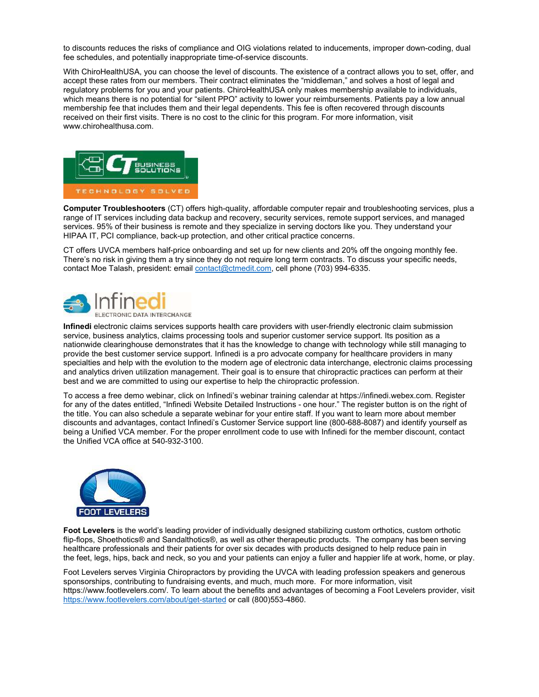to discounts reduces the risks of compliance and OIG violations related to inducements, improper down-coding, dual fee schedules, and potentially inappropriate time-of-service discounts.

With ChiroHealthUSA, you can choose the level of discounts. The existence of a contract allows you to set, offer, and accept these rates from our members. Their contract eliminates the "middleman," and solves a host of legal and regulatory problems for you and your patients. ChiroHealthUSA only makes membership available to individuals, which means there is no potential for "silent PPO" activity to lower your reimbursements. Patients pay a low annual membership fee that includes them and their legal dependents. This fee is often recovered through discounts received on their first visits. There is no cost to the clinic for this program. For more information, visit www.chirohealthusa.com.



**Computer Troubleshooters** (CT) offers high-quality, affordable computer repair and troubleshooting services, plus a range of IT services including data backup and recovery, security services, remote support services, and managed services. 95% of their business is remote and they specialize in serving doctors like you. They understand your HIPAA IT, PCI compliance, back-up protection, and other critical practice concerns.

CT offers UVCA members half-price onboarding and set up for new clients and 20% off the ongoing monthly fee. There's no risk in giving them a try since they do not require long term contracts. To discuss your specific needs, contact Moe Talash, president: emai[l contact@ctmedit.com,](mailto:contact@ctmedit.com) cell phone (703) 994-6335.



**Infinedi** electronic claims services supports health care providers with user-friendly electronic claim submission service, business analytics, claims processing tools and superior customer service support. Its position as a nationwide clearinghouse demonstrates that it has the knowledge to change with technology while still managing to provide the best customer service support. Infinedi is a pro advocate company for healthcare providers in many specialties and help with the evolution to the modern age of electronic data interchange, electronic claims processing and analytics driven utilization management. Their goal is to ensure that chiropractic practices can perform at their best and we are committed to using our expertise to help the chiropractic profession.

To access a free demo webinar, click on Infinedi's webinar training calendar at https://infinedi.webex.com. Register for any of the dates entitled, "Infinedi Website Detailed Instructions - one hour." The register button is on the right of the title. You can also schedule a separate webinar for your entire staff. If you want to learn more about member discounts and advantages, contact Infinedi's Customer Service support line (800-688-8087) and identify yourself as being a Unified VCA member. For the proper enrollment code to use with Infinedi for the member discount, contact the Unified VCA office at 540-932-3100.



**Foot Levelers** is the world's leading provider of individually designed stabilizing custom orthotics, custom orthotic flip-flops, Shoethotics® and Sandalthotics®, as well as other therapeutic products. The company has been serving healthcare professionals and their patients for over six decades with products designed to help reduce pain in the feet, legs, hips, back and neck, so you and your patients can enjoy a fuller and happier life at work, home, or play.

Foot Levelers serves Virginia Chiropractors by providing the UVCA with leading profession speakers and generous sponsorships, contributing to fundraising events, and much, much more. For more information, visit https://www.footlevelers.com/. To learn about the benefits and advantages of becoming a Foot Levelers provider, visit <https://www.footlevelers.com/about/get-started>or call (800)553-4860.